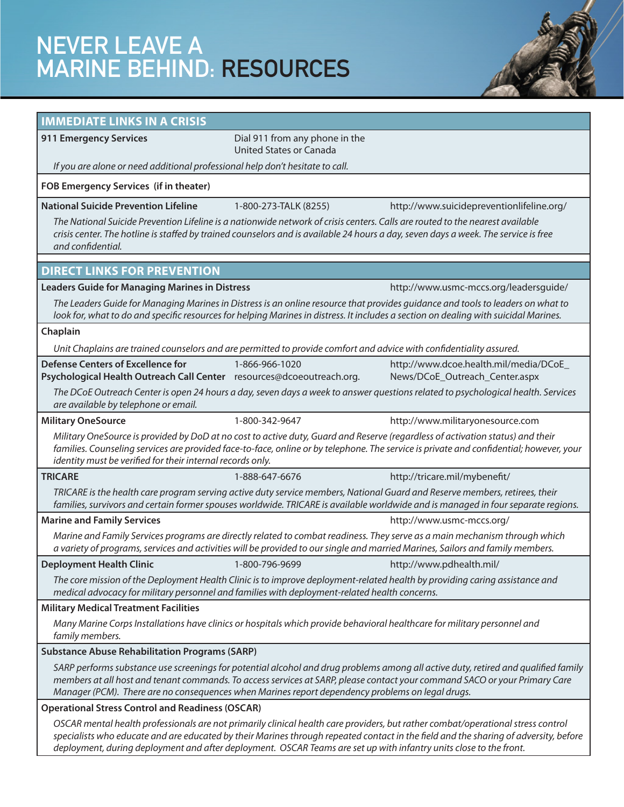# NEVER LEAVE A MARINE BEHIND: RESOURCES